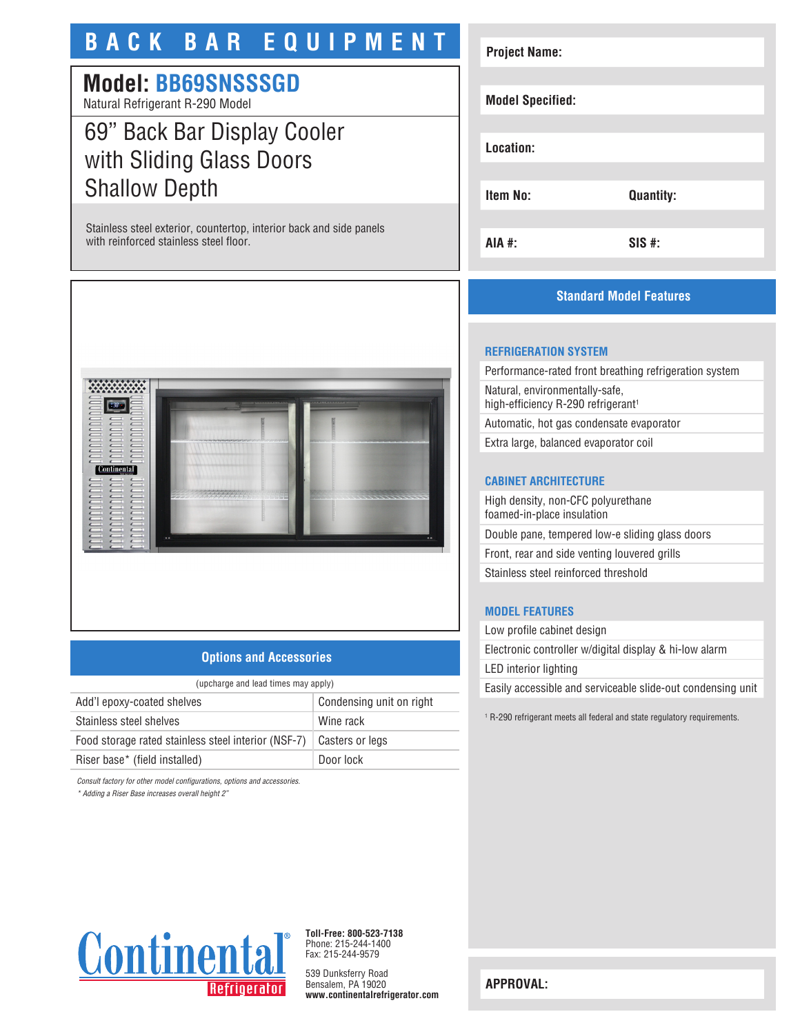# **BACK BAR EQUIPMENT**

# **Model: BB69SNSSSGD**

Natural Refrigerant R-290 Model

# 69" Back Bar Display Cooler with Sliding Glass Doors Shallow Depth

Stainless steel exterior, countertop, interior back and side panels with reinforced stainless steel floor.



## **Options and Accessories**

| (upcharge and lead times may apply) |  |  |
|-------------------------------------|--|--|
| Condensing unit on right            |  |  |
| Wine rack                           |  |  |
| Casters or legs                     |  |  |
| Door lock                           |  |  |
|                                     |  |  |

*Consult factory for other model configurations, options and accessories.*

*\* Adding a Riser Base increases overall height 2"*

# **Project Name: Model Specified: Location: Item No: Quantity: AIA #: SIS #:**

## **Standard Model Features**

### **REFRIGERATION SYSTEM**

Performance-rated front breathing refrigeration system Natural, environmentally-safe, high-efficiency R-290 refrigerant<sup>1</sup>

Automatic, hot gas condensate evaporator

Extra large, balanced evaporator coil

#### **CABINET ARCHITECTURE**

High density, non-CFC polyurethane foamed-in-place insulation Double pane, tempered low-e sliding glass doors Front, rear and side venting louvered grills Stainless steel reinforced threshold

#### **MODEL FEATURES**

Low profile cabinet design Electronic controller w/digital display & hi-low alarm LED interior lighting Easily accessible and serviceable slide-out condensing unit

1 R-290 refrigerant meets all federal and state regulatory requirements.



**Toll-Free: 800-523-7138** Phone: 215-244-1400 Fax: 215-244-9579

539 Dunksferry Road Bensalem, PA 19020 **www.continentalrefrigerator.com** 

**APPROVAL:**